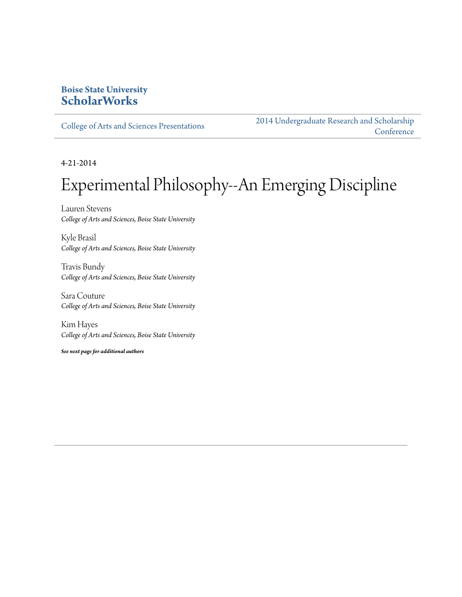#### **Boise State University [ScholarWorks](http://scholarworks.boisestate.edu)**

[College of Arts and Sciences Presentations](http://scholarworks.boisestate.edu/as_14)

[2014 Undergraduate Research and Scholarship](http://scholarworks.boisestate.edu/2014_under_conf) **[Conference](http://scholarworks.boisestate.edu/2014_under_conf)** 

4-21-2014

#### Experimental Philosophy--An Emerging Discipline

Lauren Stevens *College of Arts and Sciences, Boise State University*

Kyle Brasil *College of Arts and Sciences, Boise State University*

Travis Bundy *College of Arts and Sciences, Boise State University*

Sara Couture *College of Arts and Sciences, Boise State University*

Kim Hayes *College of Arts and Sciences, Boise State University*

*See next page for additional authors*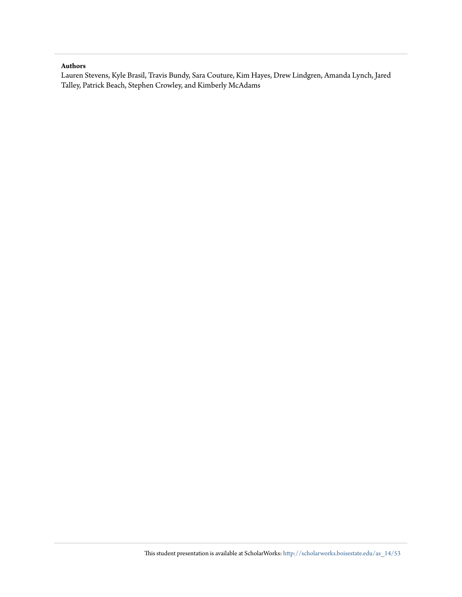#### **Authors**

Lauren Stevens, Kyle Brasil, Travis Bundy, Sara Couture, Kim Hayes, Drew Lindgren, Amanda Lynch, Jared Talley, Patrick Beach, Stephen Crowley, and Kimberly McAdams